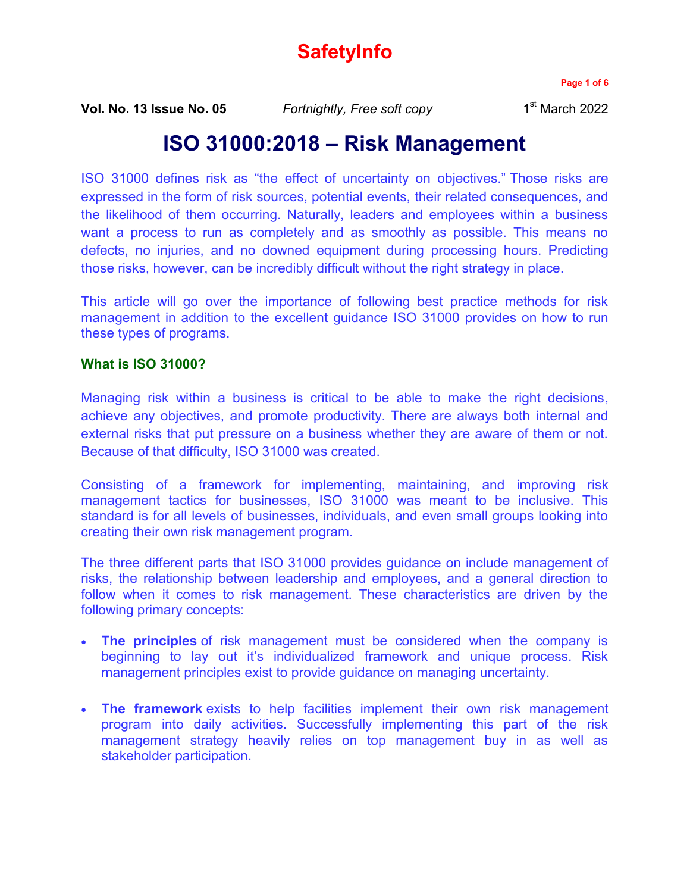# **SafetyInfo**

**Page 1 of 6**

**Vol. No. 13 Issue No. 05** *Fortnightly, Free soft copy* 1

 $1<sup>st</sup>$  March 2022

## **ISO 31000:2018 – Risk Management**

[ISO 31000 defines risk as "the effect of uncertainty on objectives."](https://www.iso.org/obp/ui/#iso:std:iso:31000:ed-2:v1:en) Those risks are expressed in the form of risk sources, potential events, their related consequences, and the likelihood of them occurring. Naturally, leaders and employees within a business want a process to run as completely and as smoothly as possible. This means no defects, no injuries, and no downed equipment during processing hours. Predicting those risks, however, can be incredibly difficult without the right strategy in place.

This article will go over the importance of following best practice methods for risk management in addition to the excellent guidance ISO 31000 provides on how to run these types of programs.

#### **What is ISO 31000?**

[Managing risk within a business is critical to be able to make the right decisions,](https://www.process.st/iso-31000/#iso_31000_process) achieve any objectives, and promote productivity. There are always both internal and external risks that put pressure on a business whether they are aware of them or not. Because of that difficulty, ISO 31000 was created.

Consisting of a framework for implementing, maintaining, and improving risk management tactics for businesses, ISO 31000 was meant to be inclusive. This standard is for all levels of businesses, individuals, and even small groups looking into creating their own risk management program.

The three different parts that ISO 31000 provides guidance on include management of risks, the relationship between leadership and employees, and a general direction to follow when it comes to risk management. These characteristics are driven by the following primary concepts:

- **The principles** of risk management must be considered when the company is beginning to lay out it's individualized framework and unique process. Risk management principles exist to provide guidance on managing uncertainty.
- **The framework** exists to help facilities implement their own risk management program into daily activities. Successfully implementing this part of the risk management strategy heavily relies on top management buy in as well as stakeholder participation.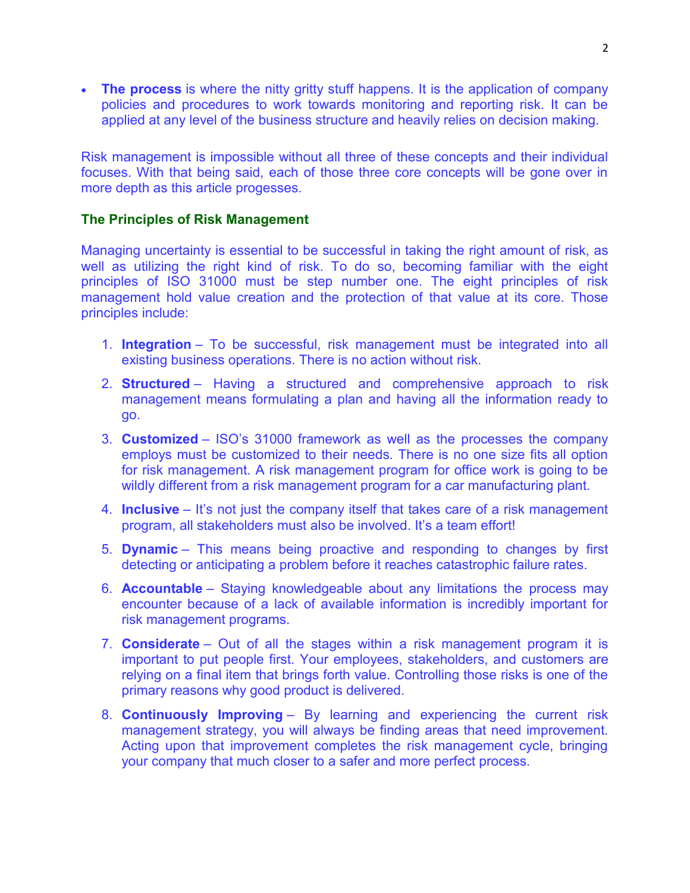**The process** is where the nitty gritty stuff happens. It is the application of company policies and procedures to work towards monitoring and reporting risk. It can be applied at any level of the business structure and heavily relies on decision making.

Risk management is impossible without all three of these concepts and their individual focuses. With that being said, each of those three core concepts will be gone over in more depth as this article progesses.

#### **The Principles of Risk Management**

Managing uncertainty is essential to be successful in taking the right amount of risk, as well as utilizing the right kind of risk. To do so, becoming familiar with the eight principles of ISO 31000 must be step number one. The eight principles of risk management hold value creation and the protection of that value at its core. Those principles include:

- 1. **Integration** To be successful, risk management must be integrated into all existing business operations. There is no action without risk.
- 2. **Structured** Having a structured and comprehensive approach to risk management means formulating a plan and having all the information ready to go.
- 3. **Customized** ISO's 31000 framework as well as the processes the company employs must be customized to their needs. There is no one size fits all option for risk management. A risk management program for office work is going to be wildly different from a risk management program for a car manufacturing plant.
- 4. **Inclusive** It's not just the company itself that takes care of a risk management program, all stakeholders must also be involved. It's a team effort!
- 5. **Dynamic** This means being proactive and responding to changes by first detecting or anticipating a problem before it reaches catastrophic failure rates.
- 6. **Accountable** Staying knowledgeable about any limitations the process may encounter because of a lack of available information is incredibly important for risk management programs.
- 7. **Considerate** Out of all the stages within a risk management program it is important to put people first. Your employees, stakeholders, and customers are relying on a final item that brings forth value. Controlling those risks is one of the primary reasons why good product is delivered.
- 8. **Continuously Improving** By learning and experiencing the current risk management strategy, you will always be finding areas that need improvement. Acting upon that improvement completes the risk management cycle, bringing your company that much closer to a safer and more perfect process.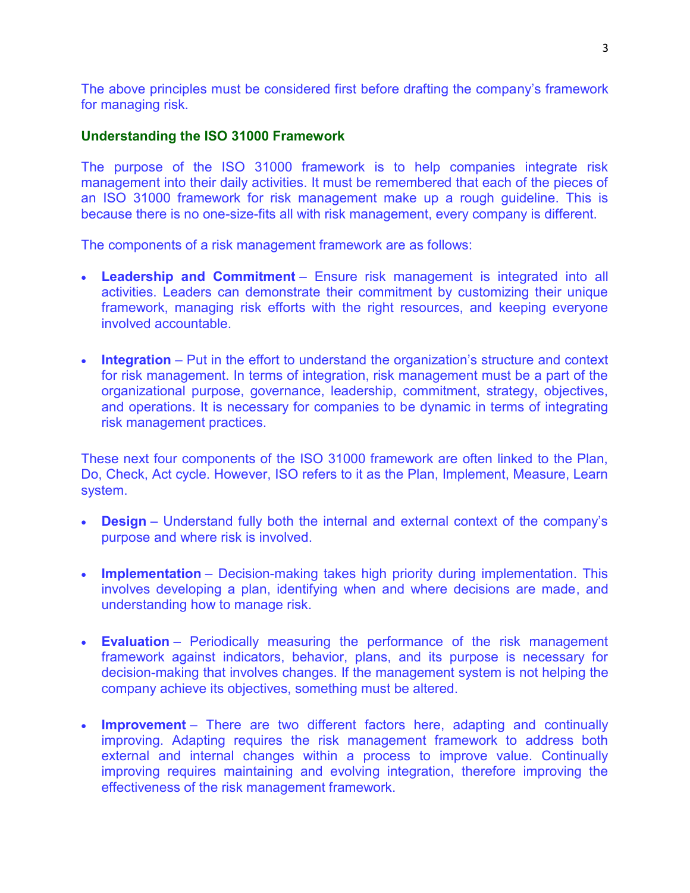The above principles must be considered first before drafting the company's framework for managing risk.

#### **Understanding the ISO 31000 Framework**

The purpose of the ISO 31000 framework is to help companies integrate risk management into their daily activities. It must be remembered that each of the pieces of an ISO 31000 framework for risk management make up a rough guideline. This is because there is no one-size-fits all with risk management, every company is different.

The components of a risk management framework are as follows:

- **Leadership and Commitment** Ensure risk management is integrated into all activities. Leaders can demonstrate their commitment by customizing their unique framework, managing risk efforts with the right resources, and keeping everyone involved accountable.
- **Integration** Put in the effort to understand the organization's structure and context for risk management. In terms of integration, risk management must be a part of the organizational purpose, governance, leadership, commitment, strategy, objectives, and operations. It is necessary for companies to be dynamic in terms of integrating risk management practices.

These next four components of the ISO 31000 framework are often linked to the Plan, Do, Check, Act cycle. However, ISO refers to it as the Plan, Implement, Measure, Learn system.

- **Design** Understand fully both the internal and external context of the company's purpose and where risk is involved.
- **Implementation** Decision-making takes high priority during implementation. This involves developing a plan, identifying when and where decisions are made, and understanding how to manage risk.
- **Evaluation** Periodically measuring the performance of the risk management framework against indicators, behavior, plans, and its purpose is necessary for decision-making that involves changes. If the management system is not helping the company achieve its objectives, something must be altered.
- **Improvement** There are two different factors here, adapting and continually improving. Adapting requires the risk management framework to address both external and internal changes within a process to improve value. Continually improving requires maintaining and evolving integration, therefore improving the effectiveness of the risk management framework.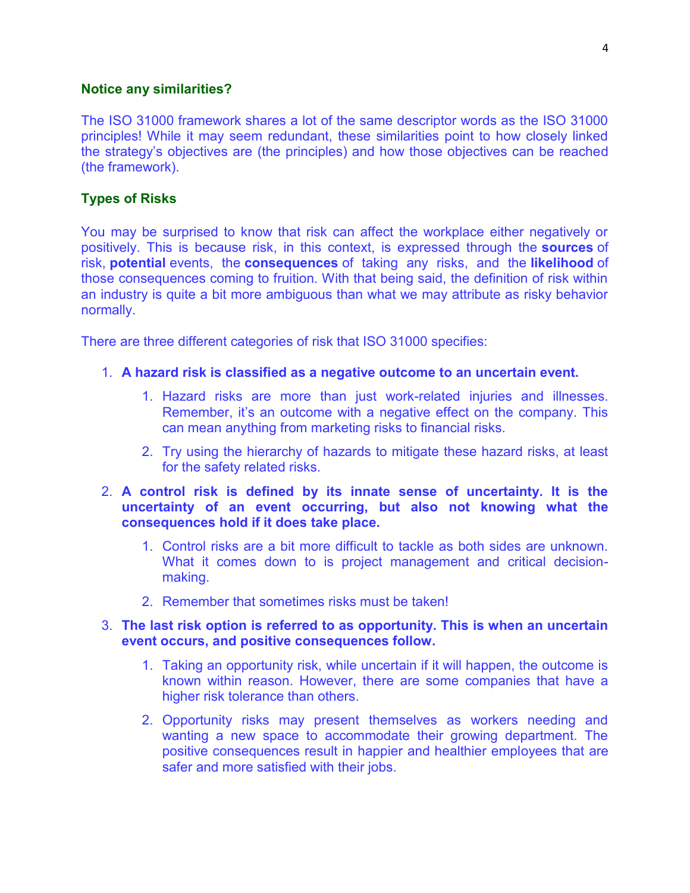#### **Notice any similarities?**

The ISO 31000 framework shares a lot of the same descriptor words as the ISO 31000 principles! While it may seem redundant, these similarities point to how closely linked the strategy's objectives are (the principles) and how those objectives can be reached (the framework).

#### **Types of Risks**

You may be surprised to know that risk can affect the workplace either negatively or positively. This is because risk, in this context, is expressed through the **sources** of risk, **potential** events, the **consequences** of taking any risks, and the **likelihood** of those consequences coming to fruition. With that being said, the definition of risk within an industry is quite a bit more ambiguous than what we may attribute as risky behavior normally.

There are three different categories of risk that ISO 31000 specifies:

- 1. **A hazard risk is classified as a negative outcome to an uncertain event.**
	- 1. Hazard risks are more than just work-related injuries and illnesses. Remember, it's an outcome with a negative effect on the company. This can mean anything from marketing risks to financial risks.
	- 2. Try using the hierarchy of hazards to mitigate these hazard risks, at least for the safety related risks.
- 2. **A control risk is defined by its innate sense of uncertainty. It is the uncertainty of an event occurring, but also not knowing what the consequences hold if it does take place.**
	- 1. Control risks are a bit more difficult to tackle as both sides are unknown. What it comes down to is project management and critical decisionmaking.
	- 2. Remember that sometimes risks must be taken!

#### 3. **The last risk option is referred to as opportunity. This is when an uncertain event occurs, and positive consequences follow.**

- 1. Taking an opportunity risk, while uncertain if it will happen, the outcome is known within reason. However, there are some companies that have a higher risk tolerance than others.
- 2. Opportunity risks may present themselves as workers needing and wanting a new space to accommodate their growing department. The positive consequences result in happier and healthier employees that are safer and more satisfied with their jobs.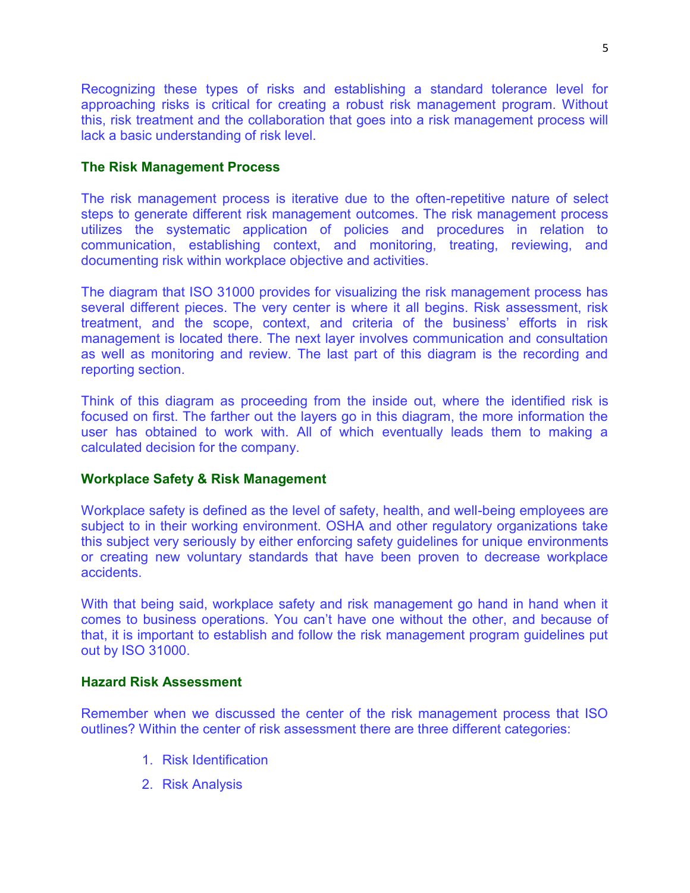Recognizing these types of risks and establishing a standard tolerance level for approaching risks is critical for creating a robust risk management program. Without this, risk treatment and the collaboration that goes into a risk management process will lack a basic understanding of risk level.

#### **The Risk Management Process**

The risk management process is iterative due to the often-repetitive nature of select steps to generate different risk management outcomes. The risk management process utilizes the systematic application of policies and procedures in relation to communication, establishing context, and monitoring, treating, reviewing, and documenting risk within workplace objective and activities.

The diagram that ISO 31000 provides for visualizing the risk management process has several different pieces. The very center is where it all begins. Risk assessment, risk treatment, and the scope, context, and criteria of the business' efforts in risk management is located there. The next layer involves communication and consultation as well as monitoring and review. The last part of this diagram is the recording and reporting section.

Think of this diagram as proceeding from the inside out, where the identified risk is focused on first. The farther out the layers go in this diagram, the more information the user has obtained to work with. All of which eventually leads them to making a calculated decision for the company.

### **Workplace Safety & Risk Management**

Workplace safety is defined as the level of safety, health, and well-being employees are subject to in their working environment. OSHA and other regulatory organizations take this subject very seriously by either enforcing safety guidelines for unique environments or creating new voluntary standards that have been proven to decrease workplace accidents.

With that being said, workplace safety and risk management go hand in hand when it comes to business operations. You can't have one without the other, and because of that, it is important to establish and follow the risk management program guidelines put out by ISO 31000.

#### **Hazard Risk Assessment**

Remember when we discussed the center of the risk management process that ISO outlines? Within the center of risk assessment there are three different categories:

- 1. Risk Identification
- 2. Risk Analysis